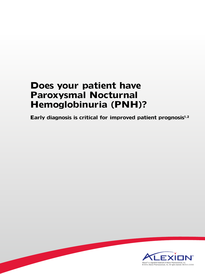# **Does your patient have Paroxysmal Nocturnal Hemoglobinuria (PNH)?**

**Early diagnosis is critical for improved patient prognosis1,2**

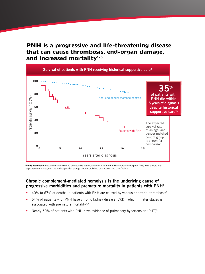**PNH is a progressive and life-threatening disease that can cause thrombosis, end-organ damage, and increased mortality1-5**



\*Study description: Researchers followed 80 consecutive patients with PNH referred to Hammersmith Hospital. They were treated with supportive measures, such as anticoagulation therapy after established thromboses and transfusions.

#### **Chronic complement-mediated hemolysis is the underlying cause of progressive morbidities and premature mortality in patients with PNH4**

- 40% to 67% of deaths in patients with PNH are caused by venous or arterial thrombosis<sup>6</sup>
- 64% of patients with PNH have chronic kidney disease (CKD), which in later stages is associated with premature mortality $7,8$
- Nearly 50% of patients with PNH have evidence of pulmonary hypertension (PHT)<sup>9</sup>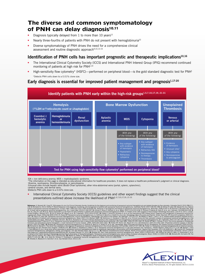### **The diverse and common symptomatology**  of PNH can delay diagnosis<sup>10,11</sup>

- Diagnosis typically delayed from  $1$  to more than  $10$  years<sup>12</sup>
- Nearly three-fourths of patients with PNH do not present with hemoglobinuria<sup>10</sup>
- Diverse symptomatology of PNH drives the need for a comprehensive clinical assessment and routine diagnostic approach<sup>9,10,13-15</sup>

#### Identification of PNH cells has important prognostic and therapeutic implications<sup>10,16</sup>

- The International Clinical Cytometry Society (ICCS) and International PNH Interest Group (IPIG) recommend continued monitoring of patients at high risk for PNH<sup>1,10</sup>
- High-sensitivity flow cytometry\* (HSFC)—performed on peripheral blood—is the gold standard diagnostic test for PNH1 \*Detects PNH cells down to a 0.01% clone size.

#### Early diagnosis is essential for improved patient management and prognosis<sup>1,17-20</sup>



IDA = iron deficiency anemia; MDS = myelodysplastic syndrome.<br>\*The information on this page is intended as educational information for healthcare providers. It does not replace a healthcare professional's judgment or clini †Anemia, neutropenia, thrombocytopenia, or pancytopenia. ‡Unusual sites include hepatic veins (Budd-Chiari syndrome), other intra-abdominal veins (portal, splenic, splanchnic),

cerebral sinuses, and dermal veins.

§Detects PNH cells down to a 0.01% clone size.

• International Clinical Cytometry Society (ICCS) guidelines and other expert findings suggest that the clinical presentations outlined above increase the likelihood of PNH1,5,7,10,17,19, 21-31

References 1. Borowitz MJ, Craig FE, DGiuseppe JA, et al; for Clinical Cytomety Sciety, Guidelines for the diagnosis and monitoring farowysmal noctrinal hemoglobinuria. Order that also the created dispersed that also the c Hematology Am Soc Hematol Educ Program: 2008:93-103. 22. Dolezel Z, Dostalkova D, Blatny J, et al. Paroxysmal nocturnal hemoglobimia in a girl with hemolysis and "hematuria." Parliar Napsign 1. 24.3. Paroxysmal nocturnal h nocturnal hemoglobinuria: pathogenesis, testing, and diagnosis. Cli/n *Adv Hematol Oncol.* 2013;11:1-11. **25.** National Compensative Cancer Network. NCCN clinical hemoglobinuria of the case of the compensative Cancer Netwo

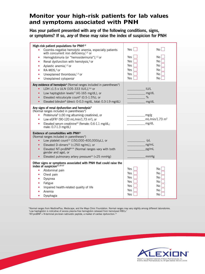### **Monitor your high-risk patients for lab values and symptoms associated with PNH**

Has your patient presented with any of the following conditions, signs, or symptoms? If so, *any* of these may raise the index of suspicion for PNH

| High-risk patient populations for PNH <sup>1,2</sup><br>Coombs-negative hemolytic anemia, especially patients<br>with concurrent iron deficiency, $1,2$ or<br>Hemoglobinuria (or "hemosiderinuria"), $1,2$ or<br>$\bullet$<br>Renal dysfunction with hemolysis, $3$ or<br>Aplastic anemia, <sup>1,2</sup> or<br>RA-MDS, <sup>2</sup> or<br>$\bullet$<br>Unexplained thrombosis, <sup>1,2</sup> or<br>$\bullet$<br>Unexplained cytopenia <sup>1</sup> | Yes<br>Yes<br>Yes<br>Yes<br>Yes<br>Yes<br>Yes | No<br>No<br>No<br><b>No</b><br><b>No</b><br>No<br>No               |
|------------------------------------------------------------------------------------------------------------------------------------------------------------------------------------------------------------------------------------------------------------------------------------------------------------------------------------------------------------------------------------------------------------------------------------------------------|-----------------------------------------------|--------------------------------------------------------------------|
| Any evidence of hemolysis <sup>4</sup> (Normal ranges included in parentheses <sup>*</sup> )<br>LDH ≥1.5 x ULN (105-333 IU/L), <sup>5,6</sup> or<br>Low haptoglobin levels <sup>†7</sup> (41-165 mg/dL), or<br>$\bullet$<br>Elevated reticulocyte count <sup>6</sup> (0.5-1.5%), or<br>$\bullet$<br>Elevated bilirubin <sup>8</sup> (direct: 0-0.3 mg/dL, total: 0.3-1.9 mg/dL)<br>$\bullet$                                                         | IUI/L<br>mg/dL<br>%<br>mg/dL                  |                                                                    |
| Any signs of renal dysfunction and hemolysis <sup>3</sup><br>(Normal ranges included in parentheses*)<br>Proteinuria <sup>9</sup> (≤30 mg albumin/g creatinine), or<br>Low eGFR <sup>3</sup> (90-120 mL/min/1.73 m <sup>2</sup> ), or<br>$\bullet$<br>Elevated serum creatinine <sup>10</sup> (female: 0.6-1.1 mg/dL;<br>$\bullet$<br>male: 0.7-1.3 mg/dL)                                                                                           |                                               | mg/g<br>$mL/min/1.73$ m <sup>2</sup><br>mg/dL                      |
| Evidence of comorbidities with PNH <sup>11</sup><br>(Normal ranges included in parentheses*)<br>Low platelet count <sup>12</sup> (150,000-400,000/µL), or<br>Elevated D-dimers <sup>13</sup> ( $\leq$ 250 ng/mL), or<br>$\bullet$<br>Elevated NT-proBNP <sup>#14</sup> (Normal ranges vary with both<br>$\bullet$<br>gender and age), or<br>Elevated pulmonary artery pressure <sup>14</sup> (<25 mmHg)                                              | $/\mu L$<br>ng/mL<br>pg/mL<br>mmHg            |                                                                    |
| Other signs or symptoms associated with PNH that could raise the<br>index of suspicion <sup>11,15-17</sup><br>Abdominal pain<br>$\bullet$<br>Chest pain<br>Dyspnea<br>Fatigue<br>Impaired health-related quality of life<br>Anemia<br>Dysphagia                                                                                                                                                                                                      | Yes<br>Yes<br>Yes<br>Yes<br>Yes<br>Yes<br>Yes | No<br>No<br><b>No</b><br><b>No</b><br><b>No</b><br><b>No</b><br>No |

\*Normal ranges from MedlinePlus, Medscape, and the Mayo Clinic Foundation. Normal ranges may vary slightly among different laboratories. † Low haptoglobin is indicative of excess plasma-free hemoglobin released from hemolysed RBCs.7 ‡ NT-proBNP = N-terminal pro-brain natriuretic peptide, a marker of cardiac dysfunction.14